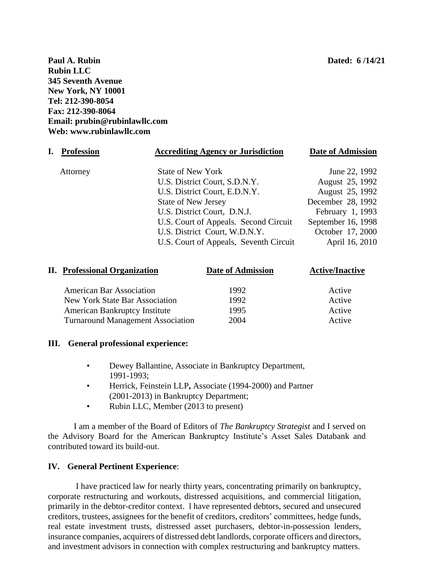**Paul A. Rubin Dated: 6 /14/21 Rubin LLC 345 Seventh Avenue New York, NY 10001 Tel: 212-390-8054 Fax: 212-390-8064 [Email: prubin@rubinlawllc.com](mailto:prubin@herrick.com) Web: www.rubinlawllc.com**

| <b>Profession</b> | <b>Accrediting Agency or Jurisdiction</b> | <b>Date of Admission</b> |
|-------------------|-------------------------------------------|--------------------------|
| Attorney          | <b>State of New York</b>                  | June 22, 1992            |
|                   | U.S. District Court, S.D.N.Y.             | August 25, 1992          |
|                   | U.S. District Court, E.D.N.Y.             | August 25, 1992          |
|                   | <b>State of New Jersey</b>                | December 28, 1992        |
|                   | U.S. District Court, D.N.J.               | February 1, 1993         |
|                   | U.S. Court of Appeals. Second Circuit     | September 16, 1998       |
|                   | U.S. District Court, W.D.N.Y.             | October 17, 2000         |
|                   | U.S. Court of Appeals, Seventh Circuit    | April 16, 2010           |

| <b>II.</b> Professional Organization     | <b>Date of Admission</b> | <b>Active/Inactive</b> |
|------------------------------------------|--------------------------|------------------------|
| <b>American Bar Association</b>          | 1992                     | Active                 |
| New York State Bar Association           | 1992                     | Active                 |
| <b>American Bankruptcy Institute</b>     | 1995                     | Active                 |
| <b>Turnaround Management Association</b> | 2004                     | Active                 |

### **III. General professional experience:**

- Dewey Ballantine, Associate in Bankruptcy Department, 1991-1993;
- Herrick, Feinstein LLP**,** Associate (1994-2000) and Partner (2001-2013) in Bankruptcy Department;
- Rubin LLC, Member (2013 to present)

I am a member of the Board of Editors of *The Bankruptcy Strategist* and I served on the Advisory Board for the American Bankruptcy Institute's Asset Sales Databank and contributed toward its build-out.

# **IV. General Pertinent Experience**:

I have practiced law for nearly thirty years, concentrating primarily on bankruptcy, corporate restructuring and workouts, distressed acquisitions, and commercial litigation, primarily in the debtor-creditor context. l have represented debtors, secured and unsecured creditors, trustees, assignees for the benefit of creditors, creditors' committees, hedge funds, real estate investment trusts, distressed asset purchasers, debtor-in-possession lenders, insurance companies, acquirers of distressed debt landlords, corporate officers and directors, and investment advisors in connection with complex restructuring and bankruptcy matters.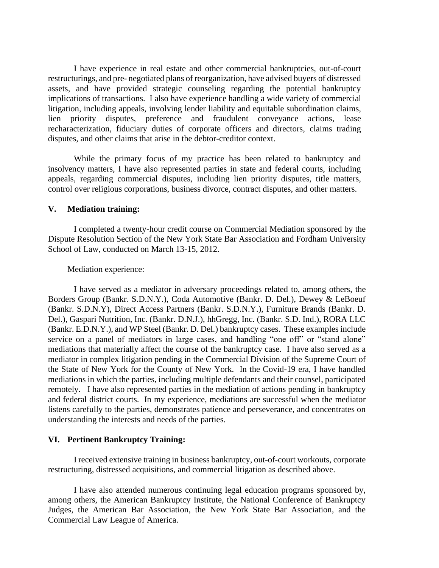I have experience in real estate and other commercial bankruptcies, out-of-court restructurings, and pre- negotiated plans of reorganization, have advised buyers of distressed assets, and have provided strategic counseling regarding the potential bankruptcy implications of transactions. I also have experience handling a wide variety of commercial litigation, including appeals, involving lender liability and equitable subordination claims, lien priority disputes, preference and fraudulent conveyance actions, lease recharacterization, fiduciary duties of corporate officers and directors, claims trading disputes, and other claims that arise in the debtor-creditor context.

While the primary focus of my practice has been related to bankruptcy and insolvency matters, I have also represented parties in state and federal courts, including appeals, regarding commercial disputes, including lien priority disputes, title matters, control over religious corporations, business divorce, contract disputes, and other matters.

## **V. Mediation training:**

I completed a twenty-hour credit course on Commercial Mediation sponsored by the Dispute Resolution Section of the New York State Bar Association and Fordham University School of Law, conducted on March 13-15, 2012.

#### Mediation experience:

I have served as a mediator in adversary proceedings related to, among others, the Borders Group (Bankr. S.D.N.Y.), Coda Automotive (Bankr. D. Del.), Dewey & LeBoeuf (Bankr. S.D.N.Y), Direct Access Partners (Bankr. S.D.N.Y.), Furniture Brands (Bankr. D. Del.), Gaspari Nutrition, Inc. (Bankr. D.N.J.), hhGregg, Inc. (Bankr. S.D. Ind.), RORA LLC (Bankr. E.D.N.Y.), and WP Steel (Bankr. D. Del.) bankruptcy cases. These examples include service on a panel of mediators in large cases, and handling "one off" or "stand alone" mediations that materially affect the course of the bankruptcy case. I have also served as a mediator in complex litigation pending in the Commercial Division of the Supreme Court of the State of New York for the County of New York. In the Covid-19 era, I have handled mediations in which the parties, including multiple defendants and their counsel, participated remotely. I have also represented parties in the mediation of actions pending in bankruptcy and federal district courts. In my experience, mediations are successful when the mediator listens carefully to the parties, demonstrates patience and perseverance, and concentrates on understanding the interests and needs of the parties.

### **VI. Pertinent Bankruptcy Training:**

I received extensive training in business bankruptcy, out-of-court workouts, corporate restructuring, distressed acquisitions, and commercial litigation as described above.

I have also attended numerous continuing legal education programs sponsored by, among others, the American Bankruptcy Institute, the National Conference of Bankruptcy Judges, the American Bar Association, the New York State Bar Association, and the Commercial Law League of America.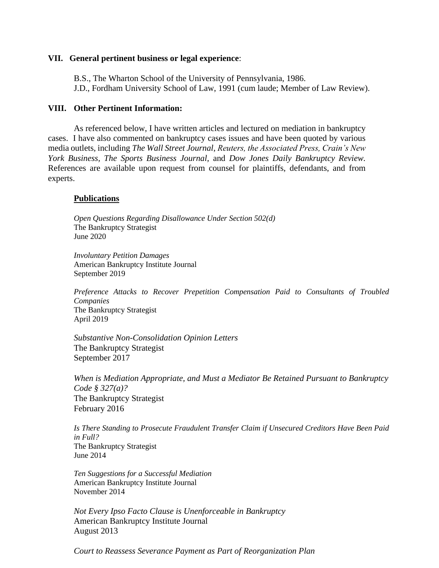### **VII. General pertinent business or legal experience**:

B.S., The Wharton School of the University of Pennsylvania, 1986. J.D., Fordham University School of Law, 1991 (cum laude; Member of Law Review).

### **VIII. Other Pertinent Information:**

As referenced below, I have written articles and lectured on mediation in bankruptcy cases. I have also commented on bankruptcy cases issues and have been quoted by various media outlets, including *The Wall Street Journal*, *Reuters, the Associated Press, Crain's New York Business, The Sports Business Journal,* and *Dow Jones Daily Bankruptcy Review.*  References are available upon request from counsel for plaintiffs, defendants, and from experts.

## **Publications**

*Open Questions Regarding Disallowance Under Section 502(d)* The Bankruptcy Strategist June 2020

*Involuntary Petition Damages* American Bankruptcy Institute Journal September 2019

*Preference Attacks to Recover Prepetition Compensation Paid to Consultants of Troubled Companies* The Bankruptcy Strategist April 2019

*Substantive Non-Consolidation Opinion Letters* The Bankruptcy Strategist September 2017

*When is Mediation Appropriate, and Must a Mediator Be Retained Pursuant to Bankruptcy Code § 327(a)?* The Bankruptcy Strategist February 2016

*Is There Standing to Prosecute Fraudulent Transfer Claim if Unsecured Creditors Have Been Paid in Full?* The Bankruptcy Strategist June 2014

*Ten Suggestions for a Successful Mediation* American Bankruptcy Institute Journal November 2014

*Not Every Ipso Facto Clause is Unenforceable in Bankruptcy* American Bankruptcy Institute Journal August 2013

*Court to Reassess Severance Payment as Part of Reorganization Plan*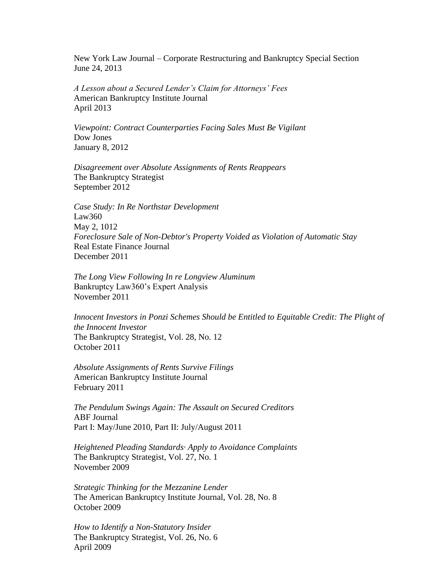New York Law Journal – Corporate Restructuring and Bankruptcy Special Section June 24, 2013

*A Lesson about a Secured Lender's Claim for Attorneys' Fees* American Bankruptcy Institute Journal April 2013

*Viewpoint: Contract Counterparties Facing Sales Must Be Vigilant* Dow Jones January 8, 2012

*Disagreement over Absolute Assignments of Rents Reappears* The Bankruptcy Strategist September 2012

*Case Study: In Re Northstar Development* Law360 May 2, 1012 *Foreclosure Sale of Non-Debtor's Property Voided as Violation of Automatic Stay* Real Estate Finance Journal December 2011

*The Long View Following In re Longview Aluminum* Bankruptcy Law360's Expert Analysis November 2011

*Innocent Investors in Ponzi Schemes Should be Entitled to Equitable Credit: The Plight of the Innocent Investor* The Bankruptcy Strategist, Vol. 28, No. 12 October 2011

*Absolute Assignments of Rents Survive Filings*  American Bankruptcy Institute Journal February 2011

*The Pendulum Swings Again: The Assault on Secured Creditors* ABF Journal Part I: May/June 2010, Part II: July/August 2011

*Heightened Pleading Standards· Apply to Avoidance Complaints* The Bankruptcy Strategist, Vol. 27, No. 1 November 2009

*Strategic Thinking for the Mezzanine Lender* The American Bankruptcy Institute Journal, Vol. 28, No. 8 October 2009

*How to Identify a Non-Statutory Insider*  The Bankruptcy Strategist, Vol. 26, No. 6 April 2009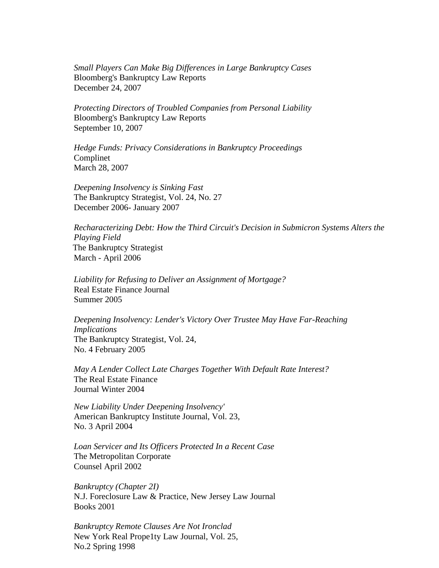*Small Players Can Make Big Differences in Large Bankruptcy Cases* Bloomberg's Bankruptcy Law Reports December 24, 2007

*Protecting Directors of Troubled Companies from Personal Liability* Bloomberg's Bankruptcy Law Reports September 10, 2007

*Hedge Funds: Privacy Considerations in Bankruptcy Proceedings* Complinet March 28, 2007

*Deepening Insolvency is Sinking Fast* The Bankruptcy Strategist, Vol. 24, No. 27 December 2006- January 2007

*Recharacterizing Debt: How the Third Circuit's Decision in Submicron Systems Alters the Playing Field* The Bankruptcy Strategist March - April 2006

*Liability for Refusing to Deliver an Assignment of Mortgage?* Real Estate Finance Journal Summer 2005

*Deepening Insolvency: Lender's Victory Over Trustee May Have Far-Reaching Implications* The Bankruptcy Strategist, Vol. 24, No. 4 February 2005

*May A Lender Collect Late Charges Together With Default Rate Interest?* The Real Estate Finance Journal Winter 2004

*New Liability Under Deepening Insolvency'* American Bankruptcy Institute Journal, Vol. 23, No. 3 April 2004

*Loan Servicer and Its Officers Protected In a Recent Case* The Metropolitan Corporate Counsel April 2002

*Bankruptcy (Chapter 2I)* N.J. Foreclosure Law & Practice, New Jersey Law Journal Books 2001

*Bankruptcy Remote Clauses Are Not Ironclad* New York Real Prope1ty Law Journal, Vol. 25, No.2 Spring 1998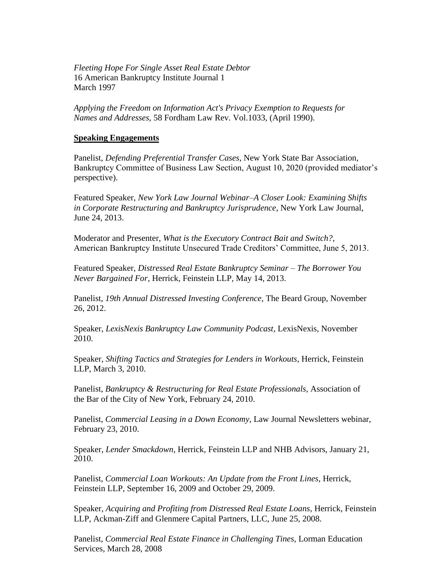*Fleeting Hope For Single Asset Real Estate Debtor* 16 American Bankruptcy Institute Journal 1 March 1997

*Applying the Freedom on Information Act's Privacy Exemption to Requests for Names and Addresses*, 58 Fordham Law Rev. Vol.1033, (April 1990).

#### **Speaking Engagements**

Panelist, *Defending Preferential Transfer Cases*, New York State Bar Association, Bankruptcy Committee of Business Law Section, August 10, 2020 (provided mediator's perspective).

Featured Speaker, *New York Law Journal Webinar–A Closer Look: Examining Shifts in Corporate Restructuring and Bankruptcy Jurisprudence*, New York Law Journal, June 24, 2013.

Moderator and Presenter, *What is the Executory Contract Bait and Switch?*, American Bankruptcy Institute Unsecured Trade Creditors' Committee, June 5, 2013.

Featured Speaker, *Distressed Real Estate Bankruptcy Seminar – The Borrower You Never Bargained For*, Herrick, Feinstein LLP, May 14, 2013.

Panelist, *19th Annual Distressed Investing Conference*, The Beard Group, November 26, 2012.

Speaker, *LexisNexis Bankruptcy Law Community Podcast*, LexisNexis, November 2010.

Speaker, *Shifting Tactics and Strategies for Lenders in Workouts*, Herrick, Feinstein LLP, March 3, 2010.

Panelist, *Bankruptcy & Restructuring for Real Estate Professionals,* Association of the Bar of the City of New York, February 24, 2010.

Panelist, *Commercial Leasing in a Down Economy,* Law Journal Newsletters webinar, February 23, 2010.

Speaker, *Lender Smackdown*, Herrick, Feinstein LLP and NHB Advisors, January 21, 2010.

Panelist, *Commercial Loan Workouts: An Update from the Front Lines*, Herrick, Feinstein LLP, September 16, 2009 and October 29, 2009.

Speaker, *Acquiring and Profiting from Distressed Real Estate Loans*, Herrick, Feinstein LLP, Ackman-Ziff and Glenmere Capital Partners, LLC, June 25, 2008.

Panelist, *Commercial Real Estate Finance in Challenging Tines,* Lorman Education Services, March 28, 2008